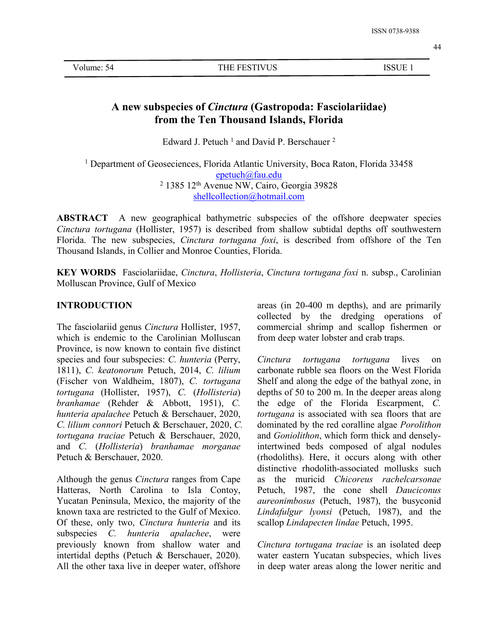# **A new subspecies of***Cinctura* **(Gastropoda: Fasciolariidae) from the Ten Thousand Islands, Florida**

Edward J. Petuch<sup>1</sup> and David P. Berschauer<sup>2</sup> 2

<sup>1</sup> Department of Geoseciences, Florida Atlantic University, Boca Raton, Florida 33458 [epetuch@fau.edu](mailto:epetuch@fau.edu)  $2$  1385 12<sup>th</sup> Avenue NW, Cairo, Georgia 39828 [shellcollection@hotmail.com](mailto:shellcollection@hotmail.com)

**ABSTRACT** A new geographical bathymetric subspecies of the offshore deepwater species *Cinctura tortugana* (Hollister, 1957) is described from shallow subtidal depths off southwestern Florida. The new subspecies, *Cinctura tortugana foxi*, is described from offshore of the Ten Thousand Islands, in Collier and Monroe Counties, Florida.

**KEY WORDS** Fasciolariidae, *Cinctura*, *Hollisteria*, *Cinctura tortugana foxi* n. subsp., Carolinian Molluscan Province, Gulf of Mexico

#### **INTRODUCTION**

The fasciolariid genus *Cinctura* Hollister, 1957, which is endemic to the Carolinian Molluscan Province, is now known to contain five distinct species and four subspecies: *C. hunteria* (Perry, 1811), *C. keatonorum* Petuch, 2014, *C. lilium* (Fischer von Waldheim, 1807), *C. tortugana tortugana* (Hollister, 1957), *C.* (*Hollisteria*) *branhamae* (Rehder & Abbott, 1951), *C. hunteria apalachee* Petuch & Berschauer, 2020, *C. lilium connori* Petuch & Berschauer, 2020, *C. tortugana traciae* Petuch & Berschauer, 2020, and *C.* (*Hollisteria*) *branhamae morganae* Petuch & Berschauer, 2020.

Although the genus *Cinctura* ranges from Cape Hatteras, North Carolina to Isla Contoy, Yucatan Peninsula, Mexico, the majority of the known taxa are restricted to the Gulf of Mexico. Of these, only two, *Cinctura hunteria* and its subspecies *C. hunteria apalachee*, were previously known from shallow water and intertidal depths (Petuch & Berschauer, 2020). All the other taxa live in deeper water, offshore areas (in 20-400 m depths), and are primarily collected by the dredging operations of commercial shrimp and scallop fishermen or from deep water lobster and crab traps.

*Cinctura tortugana tortugana* lives on carbonate rubble sea floors on the West Florida Shelf and along the edge of the bathyal zone, in depths of 50 to 200 m. In the deeper areas along the edge of the Florida Escarpment, *C. tortugana* is associated with sea floors that are dominated by the red coralline algae *Porolithon* and *Goniolithon*, which form thick and denselyintertwined beds composed of algal nodules (rhodoliths). Here, it occurs along with other distinctive rhodolith-associated mollusks such as the muricid *Chicoreus rachelcarsonae* Petuch, 1987, the cone shell *Dauciconus aureonimbosus* (Petuch, 1987), the busyconid *Lindafulgur lyonsi* (Petuch, 1987), and the scallop *Lindapecten lindae* Petuch, 1995.

*Cinctura tortugana traciae* is an isolated deep water eastern Yucatan subspecies, which lives in deep water areas along the lower neritic and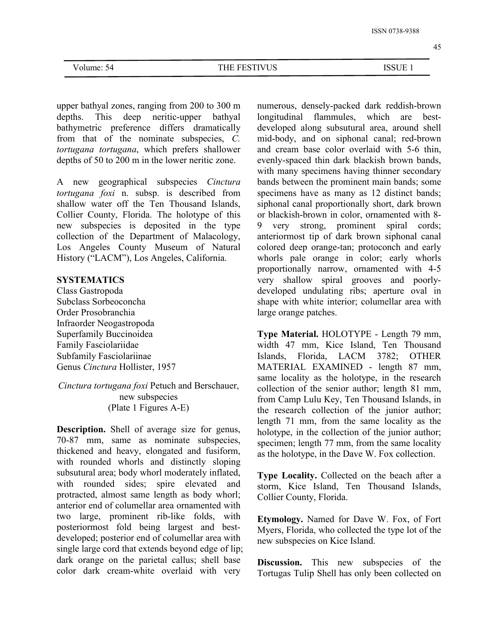45

upper bathyal zones, ranging from 200 to 300 m depths. This deep neritic-upper bathyal bathymetric preference differs dramatically from that of the nominate subspecies, *C. tortugana tortugana*, which prefers shallower depths of 50 to 200 m in the lower neritic zone.

A new geographical subspecies *Cinctura tortugana foxi* n. subsp. is described from shallow water off the Ten Thousand Islands, Collier County, Florida. The holotype of this new subspecies is deposited in the type 9 collection of the Department of Malacology, Los Angeles County Museum of Natural History ("LACM"), Los Angeles, California.

## **SYSTEMATICS**

Class Gastropoda Subclass Sorbeoconcha Order Prosobranchia Infraorder Neogastropoda Superfamily Buccinoidea Family Fasciolariidae Subfamily Fasciolariinae Genus *Cinctura* Hollister, 1957

*Cinctura tortugana foxi* Petuch and Berschauer, new subspecies (Plate 1 Figures A-E)

**Description.** Shell of average size for genus, 70-87 mm, same as nominate subspecies, thickened and heavy, elongated and fusiform, with rounded whorls and distinctly sloping subsutural area; body whorl moderately inflated, with rounded sides; spire elevated and protracted, almost same length as body whorl; anterior end of columellar area ornamented with two large, prominent rib-like folds, with posteriormost fold being largest and best developed; posterior end of columellar area with single large cord that extends beyond edge of lip; dark orange on the parietal callus; shell base color dark cream-white overlaid with very

numerous, densely-packed dark reddish-brown longitudinal flammules, which are best developed along subsutural area, around shell mid-body, and on siphonal canal; red-brown and cream base color overlaid with 5-6 thin, evenly-spaced thin dark blackish brown bands, with many specimens having thinner secondary bands between the prominent main bands; some specimens have as many as 12 distinct bands; siphonal canal proportionally short, dark brown or blackish-brown in color, ornamented with 8 very strong, prominent spiral cords; anteriormost tip of dark brown siphonal canal colored deep orange-tan; protoconch and early whorls pale orange in color; early whorls proportionally narrow, ornamented with 4-5 very shallow spiral grooves and poorly developed undulating ribs; aperture oval in shape with white interior; columellar area with large orange patches.

**Type Material.** HOLOTYPE - Length 79 mm, width 47 mm, Kice Island, Ten Thousand Islands, Florida, LACM 3782; OTHER MATERIAL EXAMINED - length 87 mm, same locality as the holotype, in the research collection of the senior author; length 81 mm, from Camp Lulu Key, Ten Thousand Islands, in the research collection of the junior author; length 71 mm, from the same locality as the holotype, in the collection of the junior author; specimen; length 77 mm, from the same locality as the holotype, in the Dave W. Fox collection.

**Type Locality.** Collected on the beach after a storm, Kice Island, Ten Thousand Islands, Collier County, Florida.

**Etymology.** Named for Dave W. Fox, of Fort Myers, Florida, who collected the type lot of the new subspecies on Kice Island.

**Discussion.** This new subspecies of the Tortugas Tulip Shell has only been collected on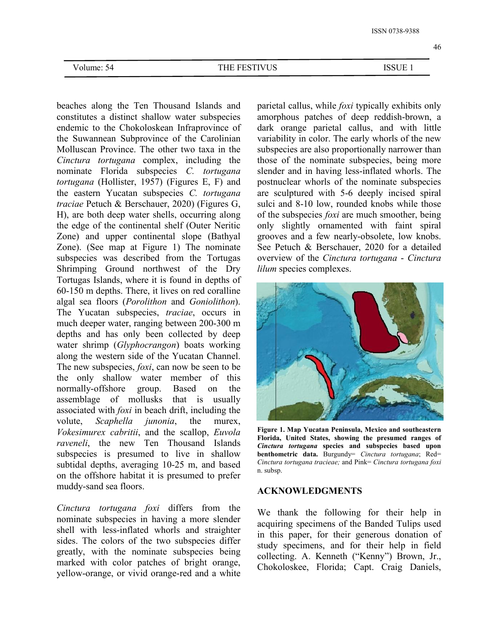beaches along the Ten Thousand Islands and constitutes a distinct shallow water subspecies endemic to the Chokoloskean Infraprovince of the Suwannean Subprovince of the Carolinian Molluscan Province. The other two taxa in the *Cinctura tortugana* complex, including the nominate Florida subspecies *C. tortugana tortugana* (Hollister, 1957) (Figures E, F) and the eastern Yucatan subspecies *C. tortugana traciae* Petuch & Berschauer, 2020) (Figures G, H), are both deep water shells, occurring along the edge of the continental shelf (Outer Neritic Zone) and upper continental slope (Bathyal Zone). (See map at Figure 1) The nominate subspecies was described from the Tortugas Shrimping Ground northwest of the Dry Tortugas Islands, where it is found in depths of 60-150 m depths. There, it lives on red coralline algal sea floors (*Porolithon* and *Goniolithon*). The Yucatan subspecies, *traciae*, occurs in much deeper water, ranging between 200-300 m depths and has only been collected by deep water shrimp (*Glyphocrangon*) boats working along the western side of the Yucatan Channel. The new subspecies, *foxi*, can now be seen to be the only shallow water member of this normally-offshore group. Based on the assemblage of mollusks that is usually associated with *foxi* in beach drift, including the volute, *Scaphella junonia*, the murex, *Vokesimurex cabritii*,and the scallop, *Euvola raveneli*, the new Ten Thousand Islands subspecies is presumed to live in shallow subtidal depths, averaging 10-25 m, and based on the offshore habitat it is presumed to prefer muddy-sand sea floors.

*Cinctura tortugana foxi* differs from the nominate subspecies in having a more slender shell with less-inflated whorls and straighter sides. The colors of the two subspecies differ greatly, with the nominate subspecies being marked with color patches of bright orange, yellow-orange, or vivid orange-red and a white parietal callus, while *foxi* typically exhibits only amorphous patches of deep reddish-brown, a dark orange parietal callus, and with little variability in color. The early whorls of the new subspecies are also proportionally narrower than those of the nominate subspecies, being more slender and in having less-inflated whorls. The postnuclear whorls of the nominate subspecies are sculptured with 5-6 deeply incised spiral sulci and 8-10 low, rounded knobs while those of the subspecies *foxi* are much smoother, being only slightly ornamented with faint spiral grooves and a few nearly-obsolete, low knobs. See Petuch & Berschauer, 2020 for a detailed overview of the *Cinctura tortugana* - *Cinctura lilum* species complexes.



**Figure 1. Map Yucatan Peninsula, Mexico and southeastern Florida, United States, showing the presumed ranges of** *Cinctura tortugana* **species and subspecies based upon benthometric data.** Burgundy= *Cinctura tortugana*; Red= *Cinctura tortugana tracieae;* and Pink= *Cinctura tortugana foxi* n. subsp.

## **ACKNOWLEDGMENTS**

We thank the following for their help in acquiring specimens of the Banded Tulips used in this paper, for their generous donation of study specimens, and for their help in field collecting. A. Kenneth ("Kenny") Brown, Jr., Chokoloskee, Florida; Capt. Craig Daniels,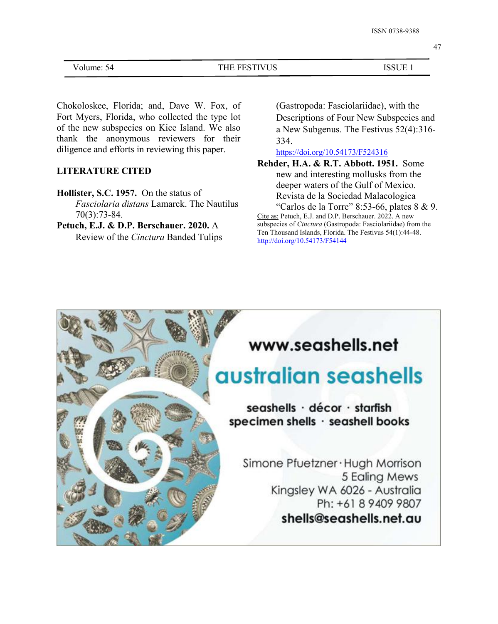47

| - -<br>ouume. | --- | ິຕ ເ<br>$\mathbf{v}$<br>، ۶۰ |  |
|---------------|-----|------------------------------|--|
|               | ັບ  |                              |  |

Chokoloskee, Florida; and, Dave W. Fox, of Fort Myers, Florida, who collected the type lot of the new subspecies on Kice Island. We also thank the anonymous reviewers for their diligence and efforts in reviewing this paper.

## **LITERATURE CITED**

**Hollister, S.C. 1957.** On the status of *Fasciolaria distans* Lamarck. The Nautilus 70(3):73-84.

**Petuch, E.J. & D.P. Berschauer. 2020.** A Review of the *Cinctura* Banded Tulips (Gastropoda: Fasciolariidae), with the Descriptions of Four New Subspecies and a New Subgenus. The Festivus 52(4):316- 334.

<https://doi.org/10.54173/F524316>

**Rehder, H.A. & R.T. Abbott. 1951.** Some new and interesting mollusks from the deeper waters of the Gulf of Mexico. Revista de la Sociedad Malacologica "Carlos de la Torre" 8:53-66, plates  $8 \& 9$ .

Cite as: Petuch, E.J. and D.P. Berschauer. 2022. A new subspecies of*Cinctura* (Gastropoda: Fasciolariidae) from the Ten Thousand Islands, Florida. The Festivus 54(1):44-48. <http://doi.org/10.54173/F54144>